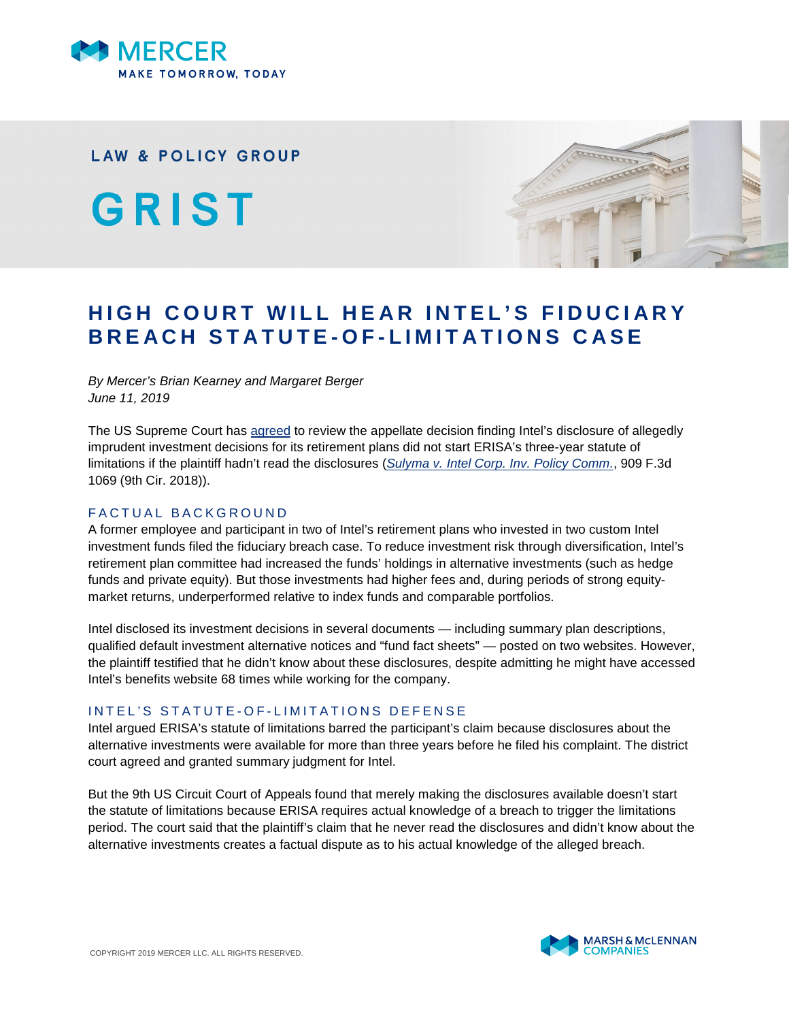

## **LAW & POLICY GROUP**

GRIST



# **HIGH COURT WILL HEAR INTEL'S FIDUCIARY BREACH STATUTE-OF-LIMITATIONS CASE**

*By Mercer's Brian Kearney and Margaret Berger June 11, 2019*

The US Supreme Court has [agreed](https://www.supremecourt.gov/search.aspx?filename=/docket/docketfiles/html/public/18-1116.html) to review the appellate decision finding Intel's disclosure of allegedly imprudent investment decisions for its retirement plans did not start ERISA's three-year statute of limitations if the plaintiff hadn't read the disclosures (*[Sulyma v. Intel Corp. Inv. Policy Comm.](http://cdn.ca9.uscourts.gov/datastore/opinions/2018/11/28/17-15864.pdf)*, 909 F.3d 1069 (9th Cir. 2018)).

## FACTUAL BACKGROUND

A former employee and participant in two of Intel's retirement plans who invested in two custom Intel investment funds filed the fiduciary breach case. To reduce investment risk through diversification, Intel's retirement plan committee had increased the funds' holdings in alternative investments (such as hedge funds and private equity). But those investments had higher fees and, during periods of strong equitymarket returns, underperformed relative to index funds and comparable portfolios.

Intel disclosed its investment decisions in several documents — including summary plan descriptions, qualified default investment alternative notices and "fund fact sheets" — posted on two websites. However, the plaintiff testified that he didn't know about these disclosures, despite admitting he might have accessed Intel's benefits website 68 times while working for the company.

#### INTEL'S STATUTE-OF-LIMITATIONS DEFENSE

Intel argued ERISA's statute of limitations barred the participant's claim because disclosures about the alternative investments were available for more than three years before he filed his complaint. The district court agreed and granted summary judgment for Intel.

But the 9th US Circuit Court of Appeals found that merely making the disclosures available doesn't start the statute of limitations because ERISA requires actual knowledge of a breach to trigger the limitations period. The court said that the plaintiff's claim that he never read the disclosures and didn't know about the alternative investments creates a factual dispute as to his actual knowledge of the alleged breach.